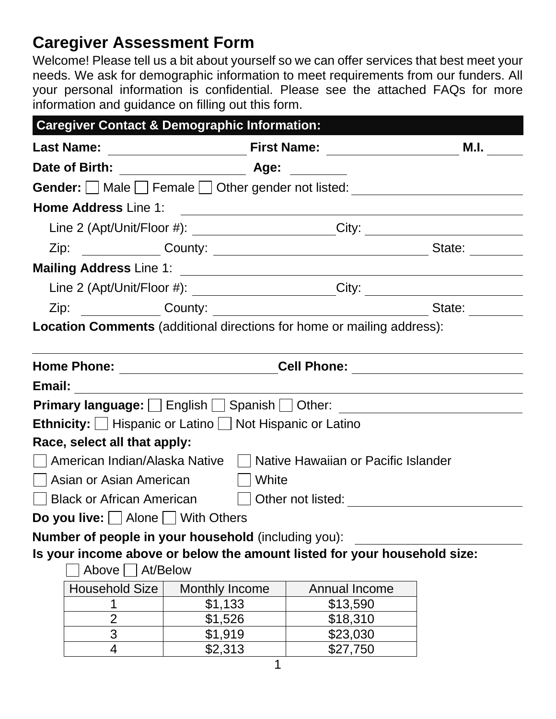# **Caregiver Assessment Form**

Welcome! Please tell us a bit about yourself so we can offer services that best meet your needs. We ask for demographic information to meet requirements from our funders. All your personal information is confidential. Please see the attached FAQs for more information and guidance on filling out this form.

| <b>Caregiver Contact &amp; Demographic Information:</b>                                                         |                       |                                                                                                                                                                                                                                      |      |  |  |
|-----------------------------------------------------------------------------------------------------------------|-----------------------|--------------------------------------------------------------------------------------------------------------------------------------------------------------------------------------------------------------------------------------|------|--|--|
| <b>Last Name:</b>                                                                                               |                       | <b>Manual Prince Prince Community Prince Prince Prince Prince Prince Prince Prince Prince Prince Prince Prince Pri</b>                                                                                                               | M.I. |  |  |
|                                                                                                                 |                       |                                                                                                                                                                                                                                      |      |  |  |
| Gender: Male Female Other gender not listed: ___________________________________                                |                       |                                                                                                                                                                                                                                      |      |  |  |
| <b>Home Address Line 1:</b>                                                                                     |                       | <u> 1989 - Johann Stoff, deutscher Stoffen und der Stoffen und der Stoffen und der Stoffen und der Stoffen und der Stoffen und der Stoffen und der Stoffen und der Stoffen und der Stoffen und der Stoffen und der Stoffen und d</u> |      |  |  |
|                                                                                                                 |                       | Line 2 (Apt/Unit/Floor #): ________________________City: _______________________                                                                                                                                                     |      |  |  |
|                                                                                                                 |                       |                                                                                                                                                                                                                                      |      |  |  |
| Mailing Address Line 1: 2008 2014 2020 2021 2021 2022 2022 2023 2024 2022 2023 2024 2022 2023 2024 2022 2023 20 |                       |                                                                                                                                                                                                                                      |      |  |  |
|                                                                                                                 |                       | Line 2 (Apt/Unit/Floor #): ________________________City: _______________________                                                                                                                                                     |      |  |  |
|                                                                                                                 |                       |                                                                                                                                                                                                                                      |      |  |  |
| <b>Location Comments</b> (additional directions for home or mailing address):                                   |                       |                                                                                                                                                                                                                                      |      |  |  |
|                                                                                                                 |                       |                                                                                                                                                                                                                                      |      |  |  |
|                                                                                                                 |                       | Cell Phone: ________________________                                                                                                                                                                                                 |      |  |  |
|                                                                                                                 |                       |                                                                                                                                                                                                                                      |      |  |  |
|                                                                                                                 |                       | Primary language: English   Spanish   Other: <b>Communistry of the Communist Primary language:</b> English   Spanish   Other:                                                                                                        |      |  |  |
| <b>Ethnicity:</b> $\Box$ Hispanic or Latino $\Box$ Not Hispanic or Latino                                       |                       |                                                                                                                                                                                                                                      |      |  |  |
| Race, select all that apply:                                                                                    |                       |                                                                                                                                                                                                                                      |      |  |  |
|                                                                                                                 |                       | American Indian/Alaska Native     Native Hawaiian or Pacific Islander                                                                                                                                                                |      |  |  |
| Asian or Asian American   White                                                                                 |                       |                                                                                                                                                                                                                                      |      |  |  |
|                                                                                                                 |                       | Black or African American Dother not listed: 2000 March 2010                                                                                                                                                                         |      |  |  |
| <b>Do you live:</b> $\Box$ Alone $\Box$ With Others                                                             |                       |                                                                                                                                                                                                                                      |      |  |  |
| Number of people in your household (including you):                                                             |                       |                                                                                                                                                                                                                                      |      |  |  |
| Is your income above or below the amount listed for your household size:                                        |                       |                                                                                                                                                                                                                                      |      |  |  |
| Above $\Box$                                                                                                    | At/Below              |                                                                                                                                                                                                                                      |      |  |  |
| <b>Household Size</b>                                                                                           | <b>Monthly Income</b> | Annual Income                                                                                                                                                                                                                        |      |  |  |
|                                                                                                                 | \$1,133               | \$13,590                                                                                                                                                                                                                             |      |  |  |
| $\overline{2}$                                                                                                  | \$1,526               | \$18,310                                                                                                                                                                                                                             |      |  |  |
| 3                                                                                                               | \$1,919               | \$23,030                                                                                                                                                                                                                             |      |  |  |
| 4                                                                                                               | \$2,313               | \$27,750                                                                                                                                                                                                                             |      |  |  |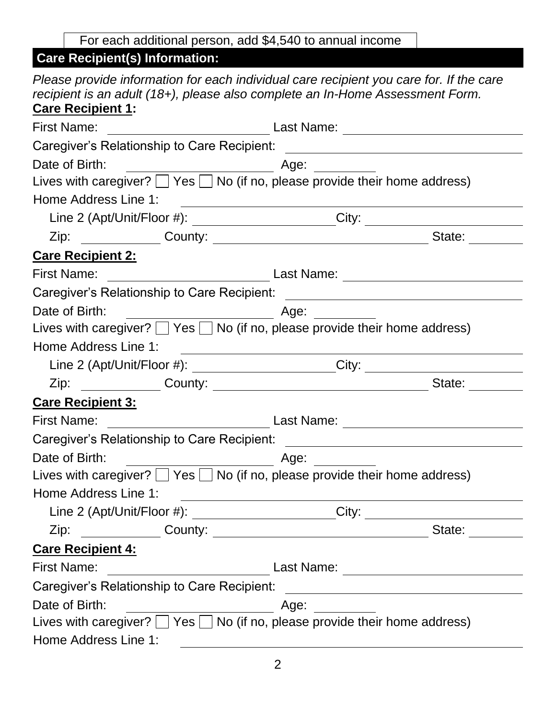For each additional person, add \$4,540 to annual income

#### **Care Recipient(s) Information:**

|                          | Please provide information for each individual care recipient you care for. If the care<br>recipient is an adult (18+), please also complete an In-Home Assessment Form. |
|--------------------------|--------------------------------------------------------------------------------------------------------------------------------------------------------------------------|
| <b>Care Recipient 1:</b> |                                                                                                                                                                          |
| <b>First Name:</b>       |                                                                                                                                                                          |
|                          |                                                                                                                                                                          |
| Date of Birth:           | $\overline{\phantom{a}}$ Age: $\overline{\phantom{a}}$                                                                                                                   |
|                          | Lives with caregiver? $\Box$ Yes $\Box$ No (if no, please provide their home address)                                                                                    |
| Home Address Line 1:     |                                                                                                                                                                          |
|                          | Line 2 (Apt/Unit/Floor #): ________________________City: _______________________                                                                                         |
|                          | State:                                                                                                                                                                   |
| <b>Care Recipient 2:</b> |                                                                                                                                                                          |
| <b>First Name:</b>       | Last Name:                                                                                                                                                               |
|                          |                                                                                                                                                                          |
| Date of Birth:           | <u>and the state of the state of the state of the state of the state of the state of the state of the state of th</u>                                                    |
|                          | Lives with caregiver? $\Box$ Yes $\Box$ No (if no, please provide their home address)                                                                                    |
| Home Address Line 1:     |                                                                                                                                                                          |
|                          | Line 2 (Apt/Unit/Floor #): __________________________City: _____________________                                                                                         |
|                          | State:                                                                                                                                                                   |
| <b>Care Recipient 3:</b> |                                                                                                                                                                          |
| <b>First Name:</b>       |                                                                                                                                                                          |
|                          |                                                                                                                                                                          |
| Date of Birth:           |                                                                                                                                                                          |
|                          | Lives with caregiver? $\Box$ Yes $\Box$ No (if no, please provide their home address)                                                                                    |
| Home Address Line 1:     |                                                                                                                                                                          |
|                          | Line 2 (Apt/Unit/Floor #): _______________________City: ________________________                                                                                         |
|                          | Zip: County: County: State: State:                                                                                                                                       |
| <b>Care Recipient 4:</b> |                                                                                                                                                                          |
|                          |                                                                                                                                                                          |
|                          |                                                                                                                                                                          |
| Date of Birth:           |                                                                                                                                                                          |
|                          | Lives with caregiver? $\Box$ Yes $\Box$ No (if no, please provide their home address)                                                                                    |
| Home Address Line 1:     |                                                                                                                                                                          |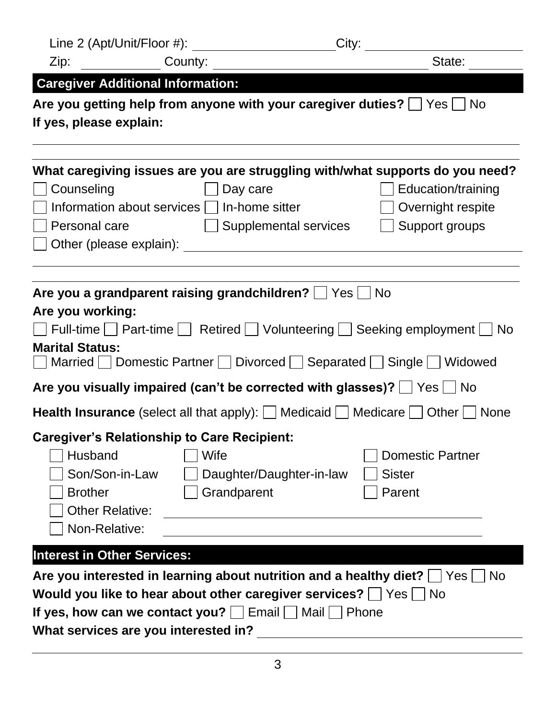| Line 2 (Apt/Unit/Floor #):                                                                                                                                                                                                                                                                                                                                                                           |                     | City:                    |                                                                                                                                            |  |
|------------------------------------------------------------------------------------------------------------------------------------------------------------------------------------------------------------------------------------------------------------------------------------------------------------------------------------------------------------------------------------------------------|---------------------|--------------------------|--------------------------------------------------------------------------------------------------------------------------------------------|--|
| Zip:                                                                                                                                                                                                                                                                                                                                                                                                 | County:             |                          | State:                                                                                                                                     |  |
| <b>Caregiver Additional Information:</b>                                                                                                                                                                                                                                                                                                                                                             |                     |                          |                                                                                                                                            |  |
| Are you getting help from anyone with your caregiver duties? $\Box$ Yes $\Box$ No<br>If yes, please explain:                                                                                                                                                                                                                                                                                         |                     |                          |                                                                                                                                            |  |
| Counseling<br>Information about services $\vert \ \vert$ In-home sitter<br>Personal care<br>Other (please explain): example and the control of the control of the control of the control of the control of the control of the control of the control of the control of the control of the control of the control of the co                                                                           | Day care            | Supplemental services    | What caregiving issues are you are struggling with/what supports do you need?<br>Education/training<br>Overnight respite<br>Support groups |  |
| Are you a grandparent raising grandchildren? $\Box$ Yes $\Box$<br>l No<br>Are you working:<br>  Full-time   Fart-time   Retired   Volunteering   Seeking employment   No<br><b>Marital Status:</b><br>Are you visually impaired (can't be corrected with glasses)? $\Box$ Yes $\Box$ No<br><b>Health Insurance</b> (select all that apply): $\Box$ Medicaid $\Box$ Medicare $\Box$ Other $\Box$ None |                     |                          |                                                                                                                                            |  |
| <b>Caregiver's Relationship to Care Recipient:</b>                                                                                                                                                                                                                                                                                                                                                   |                     |                          |                                                                                                                                            |  |
| Husband<br>Son/Son-in-Law<br><b>Brother</b><br><b>Other Relative:</b><br>Non-Relative:                                                                                                                                                                                                                                                                                                               | Wife<br>Grandparent | Daughter/Daughter-in-law | <b>Domestic Partner</b><br><b>Sister</b><br>Parent                                                                                         |  |
| <b>Interest in Other Services:</b>                                                                                                                                                                                                                                                                                                                                                                   |                     |                          |                                                                                                                                            |  |
| Are you interested in learning about nutrition and a healthy diet? $\Box$<br>l No<br>Yes <sub>1</sub><br>Would you like to hear about other caregiver services?   Yes<br>∣No<br>If yes, how can we contact you? $\Box$ Email $\Box$ Mail $\Box$ Phone<br>What services are you interested in?                                                                                                        |                     |                          |                                                                                                                                            |  |

3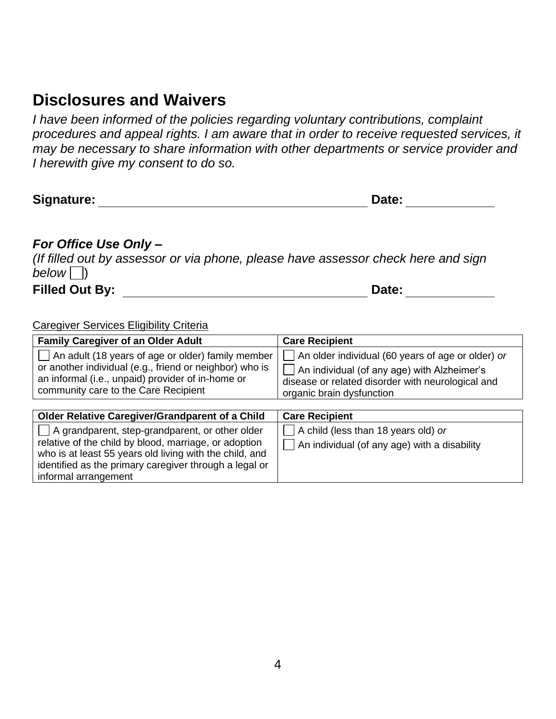## **Disclosures and Waivers**

*I have been informed of the policies regarding voluntary contributions, complaint procedures and appeal rights. I am aware that in order to receive requested services, it may be necessary to share information with other departments or service provider and I herewith give my consent to do so.* 

| Signature: | Date: |
|------------|-------|
|------------|-------|

#### *For Office Use Only –*

*(If filled out by assessor or via phone, please have assessor check here and sign below*  $\Box$ ) Filled Out By: **Date:** Date:

informal arrangement

Caregiver Services Eligibility Criteria

who is at least 55 years old living with the child, and identified as the primary caregiver through a legal or

| <b>Family Caregiver of an Older Adult</b>                         | <b>Care Recipient</b>                             |
|-------------------------------------------------------------------|---------------------------------------------------|
| $\vert$ $\vert$ An adult (18 years of age or older) family member | An older individual (60 years of age or older) or |
| or another individual (e.g., friend or neighbor) who is           | An individual (of any age) with Alzheimer's       |
| an informal (i.e., unpaid) provider of in-home or                 | disease or related disorder with neurological and |
| community care to the Care Recipient                              | organic brain dysfunction                         |
| <b>Older Relative Caregiver/Grandparent of a Child</b>            | <b>Care Recipient</b>                             |
| $\Box$ A grandparent, step-grandparent, or other older            | A child (less than 18 years old) or               |
| relative of the child by blood, marriage, or adoption             | An individual (of any age) with a disability      |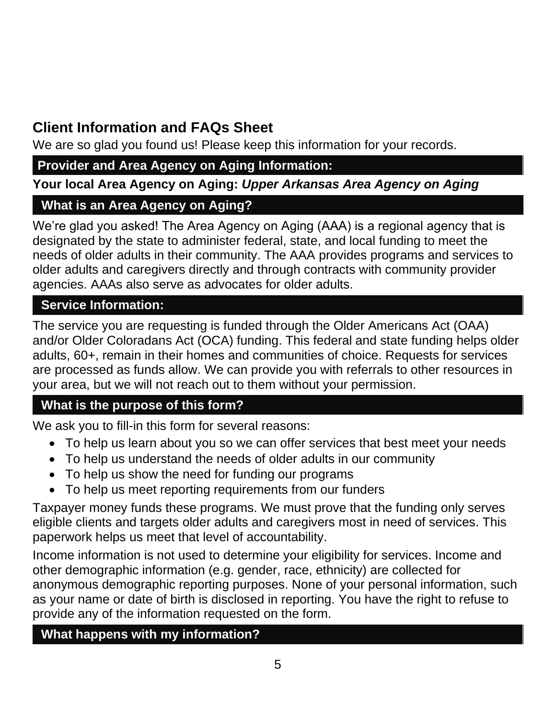# **Client Information and FAQs Sheet**

We are so glad you found us! Please keep this information for your records.

## **Provider and Area Agency on Aging Information:**

**Your local Area Agency on Aging:** *Upper Arkansas Area Agency on Aging*

## **What is an Area Agency on Aging?**

We're glad you asked! The Area Agency on Aging (AAA) is a regional agency that is designated by the state to administer federal, state, and local funding to meet the needs of older adults in their community. The AAA provides programs and services to older adults and caregivers directly and through contracts with community provider agencies. AAAs also serve as advocates for older adults.

### **Service Information:**

The service you are requesting is funded through the Older Americans Act (OAA) and/or Older Coloradans Act (OCA) funding. This federal and state funding helps older adults, 60+, remain in their homes and communities of choice. Requests for services are processed as funds allow. We can provide you with referrals to other resources in your area, but we will not reach out to them without your permission.

## **What is the purpose of this form?**

We ask you to fill-in this form for several reasons:

- To help us learn about you so we can offer services that best meet your needs
- To help us understand the needs of older adults in our community
- To help us show the need for funding our programs
- To help us meet reporting requirements from our funders

Taxpayer money funds these programs. We must prove that the funding only serves eligible clients and targets older adults and caregivers most in need of services. This paperwork helps us meet that level of accountability.

Income information is not used to determine your eligibility for services. Income and other demographic information (e.g. gender, race, ethnicity) are collected for anonymous demographic reporting purposes. None of your personal information, such as your name or date of birth is disclosed in reporting. You have the right to refuse to provide any of the information requested on the form.

#### **What happens with my information?**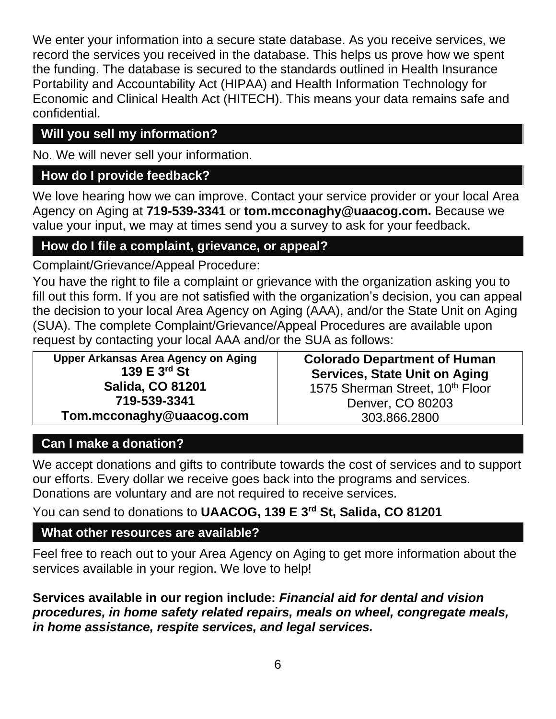We enter your information into a secure state database. As you receive services, we record the services you received in the database. This helps us prove how we spent the funding. The database is secured to the standards outlined in Health Insurance Portability and Accountability Act (HIPAA) and Health Information Technology for Economic and Clinical Health Act (HITECH). This means your data remains safe and confidential.

## **Will you sell my information?**

No. We will never sell your information.

#### **How do I provide feedback?**

We love hearing how we can improve. Contact your service provider or your local Area Agency on Aging at **719-539-3341** or **tom.mcconaghy@uaacog.com.** Because we value your input, we may at times send you a survey to ask for your feedback.

### **How do I file a complaint, grievance, or appeal?**

Complaint/Grievance/Appeal Procedure:

You have the right to file a complaint or grievance with the organization asking you to fill out this form. If you are not satisfied with the organization's decision, you can appeal the decision to your local Area Agency on Aging (AAA), and/or the State Unit on Aging (SUA). The complete Complaint/Grievance/Appeal Procedures are available upon request by contacting your local AAA and/or the SUA as follows:

**Upper Arkansas Area Agency on Aging 139 E 3rd St Salida, CO 81201 719-539-3341 Tom.mcconaghy@uaacog.com**

**Colorado Department of Human Services, State Unit on Aging** 1575 Sherman Street, 10<sup>th</sup> Floor Denver, CO 80203 303.866.2800

#### **Can I make a donation?**

We accept donations and gifts to contribute towards the cost of services and to support our efforts. Every dollar we receive goes back into the programs and services. Donations are voluntary and are not required to receive services.

#### You can send to donations to **UAACOG, 139 E 3rd St, Salida, CO 81201**

#### **What other resources are available?**

Feel free to reach out to your Area Agency on Aging to get more information about the services available in your region. We love to help!

**Services available in our region include:** *Financial aid for dental and vision procedures, in home safety related repairs, meals on wheel, congregate meals, in home assistance, respite services, and legal services.*